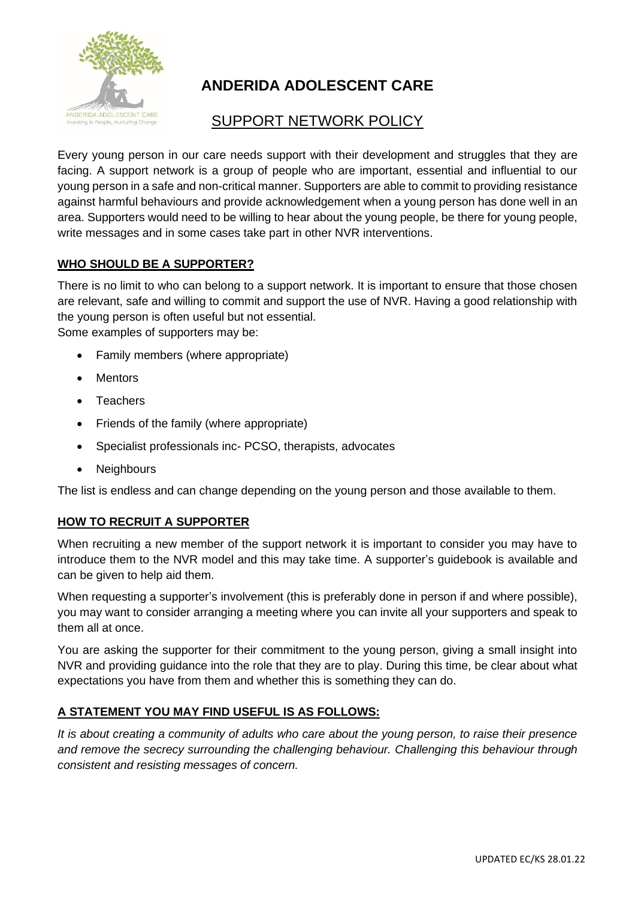

# **ANDERIDA ADOLESCENT CARE**

## SUPPORT NETWORK POLICY

Every young person in our care needs support with their development and struggles that they are facing. A support network is a group of people who are important, essential and influential to our young person in a safe and non-critical manner. Supporters are able to commit to providing resistance against harmful behaviours and provide acknowledgement when a young person has done well in an area. Supporters would need to be willing to hear about the young people, be there for young people, write messages and in some cases take part in other NVR interventions.

### **WHO SHOULD BE A SUPPORTER?**

There is no limit to who can belong to a support network. It is important to ensure that those chosen are relevant, safe and willing to commit and support the use of NVR. Having a good relationship with the young person is often useful but not essential.

Some examples of supporters may be:

- Family members (where appropriate)
- Mentors
- Teachers
- Friends of the family (where appropriate)
- Specialist professionals inc- PCSO, therapists, advocates
- **Neighbours**

The list is endless and can change depending on the young person and those available to them.

#### **HOW TO RECRUIT A SUPPORTER**

When recruiting a new member of the support network it is important to consider you may have to introduce them to the NVR model and this may take time. A supporter's guidebook is available and can be given to help aid them.

When requesting a supporter's involvement (this is preferably done in person if and where possible), you may want to consider arranging a meeting where you can invite all your supporters and speak to them all at once.

You are asking the supporter for their commitment to the young person, giving a small insight into NVR and providing guidance into the role that they are to play. During this time, be clear about what expectations you have from them and whether this is something they can do.

#### **A STATEMENT YOU MAY FIND USEFUL IS AS FOLLOWS:**

*It is about creating a community of adults who care about the young person, to raise their presence and remove the secrecy surrounding the challenging behaviour. Challenging this behaviour through consistent and resisting messages of concern.*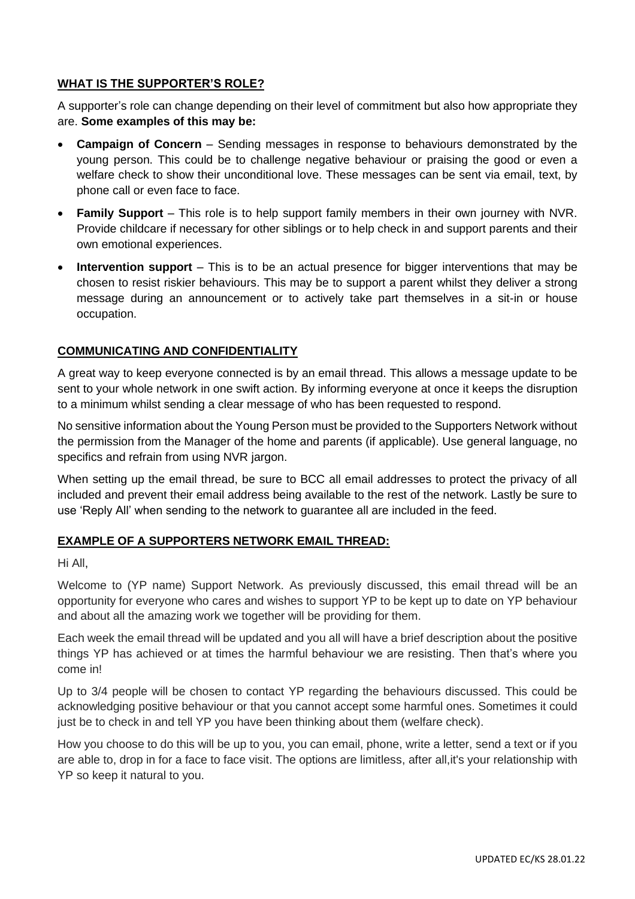#### **WHAT IS THE SUPPORTER'S ROLE?**

A supporter's role can change depending on their level of commitment but also how appropriate they are. **Some examples of this may be:**

- **Campaign of Concern** Sending messages in response to behaviours demonstrated by the young person. This could be to challenge negative behaviour or praising the good or even a welfare check to show their unconditional love. These messages can be sent via email, text, by phone call or even face to face.
- **Family Support** This role is to help support family members in their own journey with NVR. Provide childcare if necessary for other siblings or to help check in and support parents and their own emotional experiences.
- **Intervention support** This is to be an actual presence for bigger interventions that may be chosen to resist riskier behaviours. This may be to support a parent whilst they deliver a strong message during an announcement or to actively take part themselves in a sit-in or house occupation.

#### **COMMUNICATING AND CONFIDENTIALITY**

A great way to keep everyone connected is by an email thread. This allows a message update to be sent to your whole network in one swift action. By informing everyone at once it keeps the disruption to a minimum whilst sending a clear message of who has been requested to respond.

No sensitive information about the Young Person must be provided to the Supporters Network without the permission from the Manager of the home and parents (if applicable). Use general language, no specifics and refrain from using NVR jargon.

When setting up the email thread, be sure to BCC all email addresses to protect the privacy of all included and prevent their email address being available to the rest of the network. Lastly be sure to use 'Reply All' when sending to the network to guarantee all are included in the feed.

#### **EXAMPLE OF A SUPPORTERS NETWORK EMAIL THREAD:**

Hi All,

Welcome to (YP name) Support Network. As previously discussed, this email thread will be an opportunity for everyone who cares and wishes to support YP to be kept up to date on YP behaviour and about all the amazing work we together will be providing for them.

Each week the email thread will be updated and you all will have a brief description about the positive things YP has achieved or at times the harmful behaviour we are resisting. Then that's where you come in!

Up to 3/4 people will be chosen to contact YP regarding the behaviours discussed. This could be acknowledging positive behaviour or that you cannot accept some harmful ones. Sometimes it could just be to check in and tell YP you have been thinking about them (welfare check).

How you choose to do this will be up to you, you can email, phone, write a letter, send a text or if you are able to, drop in for a face to face visit. The options are limitless, after all,it's your relationship with YP so keep it natural to you.